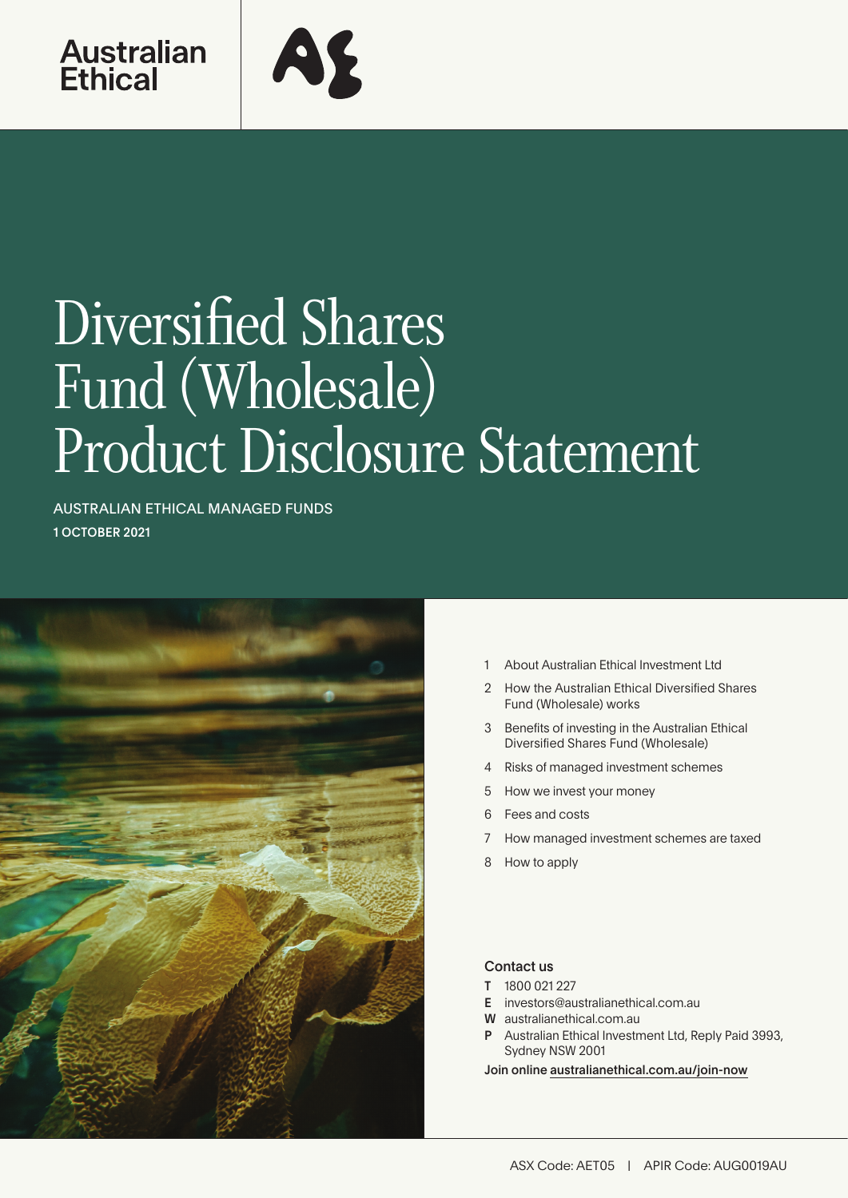



# Diversified Shares Fund (Wholesale) Product Disclosure Statement

AUSTRALIAN ETHICAL MANAGED FUNDS 1 OCTOBER 2021



- 1 About Australian Ethical Investment Ltd
- 2 [How the Australian Ethical Diversified Shares](#page-1-0)  [Fund \(Wholesale\) works](#page-1-0)
- 3 [Benefits of investing in the Australian Ethical](#page-2-0)  [Diversified Shares Fund \(Wholesale\)](#page-2-0)
- [4 Risks of managed investment schemes](#page-4-0)
- 5 [How we invest your money](#page-4-0)
- 6 [Fees and costs](#page-5-0)
- 7 [How managed investment schemes are taxed](#page-6-0)
- 8 [How to apply](#page-7-0)

#### Contact us

- T 1800 021 227
- E investors@australianethical.com.au
- W [australianethical.com.au](http://members@australianethical.com.au)
- Australian Ethical Investment Ltd, Reply Paid 3993, Sydney NSW 2001

Join online [australianethical.com.au/join-now](http://australianethical.com.au/join-now)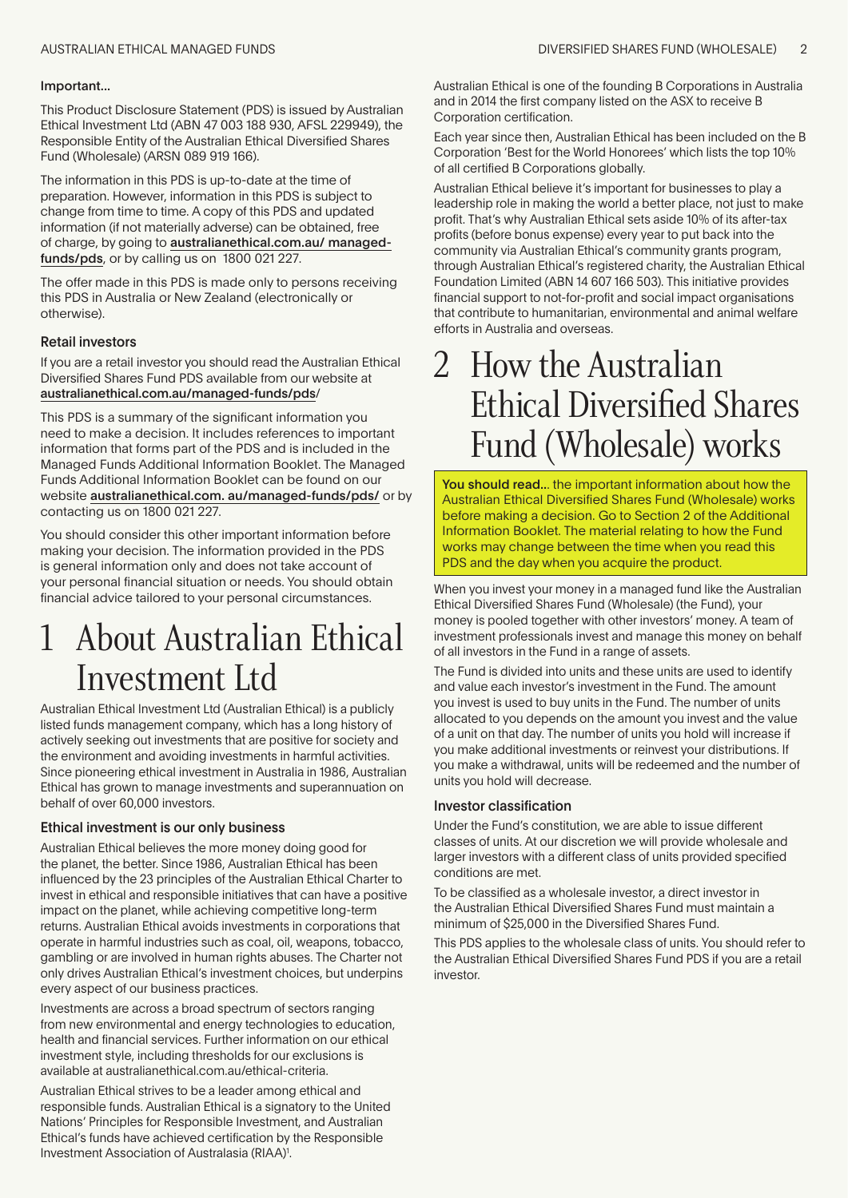#### <span id="page-1-0"></span>Important...

This Product Disclosure Statement (PDS) is issued by Australian Ethical Investment Ltd (ABN 47 003 188 930, AFSL 229949), the Responsible Entity of the Australian Ethical Diversified Shares Fund (Wholesale) (ARSN 089 919 166).

The information in this PDS is up-to-date at the time of preparation. However, information in this PDS is subject to change from time to time. A copy of this PDS and updated information (if not materially adverse) can be obtained, free of charge, by going to australianethical.com.au/ managedfunds/pds, or by calling us on 1800 021 227.

The offer made in this PDS is made only to persons receiving this PDS in Australia or New Zealand (electronically or otherwise).

#### Retail investors

If you are a retail investor you should read the Australian Ethical Diversified Shares Fund PDS available from our website at australianethical.com.au/managed-funds/pds/

This PDS is a summary of the significant information you need to make a decision. It includes references to important information that forms part of the PDS and is included in the Managed Funds Additional Information Booklet. The Managed Funds Additional Information Booklet can be found on our website australianethical.com. au/managed-funds/pds/ or by contacting us on 1800 021 227.

You should consider this other important information before making your decision. The information provided in the PDS is general information only and does not take account of your personal financial situation or needs. You should obtain financial advice tailored to your personal circumstances.

### 1 About Australian Ethical Investment Ltd

Australian Ethical Investment Ltd (Australian Ethical) is a publicly listed funds management company, which has a long history of actively seeking out investments that are positive for society and the environment and avoiding investments in harmful activities. Since pioneering ethical investment in Australia in 1986, Australian Ethical has grown to manage investments and superannuation on behalf of over 60,000 investors.

#### Ethical investment is our only business

Australian Ethical believes the more money doing good for the planet, the better. Since 1986, Australian Ethical has been influenced by the 23 principles of the Australian Ethical Charter to invest in ethical and responsible initiatives that can have a positive impact on the planet, while achieving competitive long-term returns. Australian Ethical avoids investments in corporations that operate in harmful industries such as coal, oil, weapons, tobacco, gambling or are involved in human rights abuses. The Charter not only drives Australian Ethical's investment choices, but underpins every aspect of our business practices.

Investments are across a broad spectrum of sectors ranging from new environmental and energy technologies to education, health and financial services. Further information on our ethical investment style, including thresholds for our exclusions is available at australianethical.com.au/ethical-criteria.

Australian Ethical strives to be a leader among ethical and responsible funds. Australian Ethical is a signatory to the United Nations' Principles for Responsible Investment, and Australian Ethical's funds have achieved certification by the Responsible Investment Association of Australasia (RIAA)<sup>1</sup>.

Australian Ethical is one of the founding B Corporations in Australia and in 2014 the first company listed on the ASX to receive B Corporation certification.

Each year since then, Australian Ethical has been included on the B Corporation 'Best for the World Honorees' which lists the top 10% of all certified B Corporations globally.

Australian Ethical believe it's important for businesses to play a leadership role in making the world a better place, not just to make profit. That's why Australian Ethical sets aside 10% of its after-tax profits (before bonus expense) every year to put back into the community via Australian Ethical's community grants program, through Australian Ethical's registered charity, the Australian Ethical Foundation Limited (ABN 14 607 166 503). This initiative provides financial support to not-for-profit and social impact organisations that contribute to humanitarian, environmental and animal welfare efforts in Australia and overseas.

### 2 How the Australian Ethical Diversified Shares Fund (Wholesale) works

You should read... the important information about how the Australian Ethical Diversified Shares Fund (Wholesale) works before making a decision. Go to Section 2 of the Additional Information Booklet. The material relating to how the Fund works may change between the time when you read this PDS and the day when you acquire the product.

When you invest your money in a managed fund like the Australian Ethical Diversified Shares Fund (Wholesale) (the Fund), your money is pooled together with other investors' money. A team of investment professionals invest and manage this money on behalf of all investors in the Fund in a range of assets.

The Fund is divided into units and these units are used to identify and value each investor's investment in the Fund. The amount you invest is used to buy units in the Fund. The number of units allocated to you depends on the amount you invest and the value of a unit on that day. The number of units you hold will increase if you make additional investments or reinvest your distributions. If you make a withdrawal, units will be redeemed and the number of units you hold will decrease.

#### Investor classification

Under the Fund's constitution, we are able to issue different classes of units. At our discretion we will provide wholesale and larger investors with a different class of units provided specified conditions are met.

To be classified as a wholesale investor, a direct investor in the Australian Ethical Diversified Shares Fund must maintain a minimum of \$25,000 in the Diversified Shares Fund.

This PDS applies to the wholesale class of units. You should refer to the Australian Ethical Diversified Shares Fund PDS if you are a retail investor.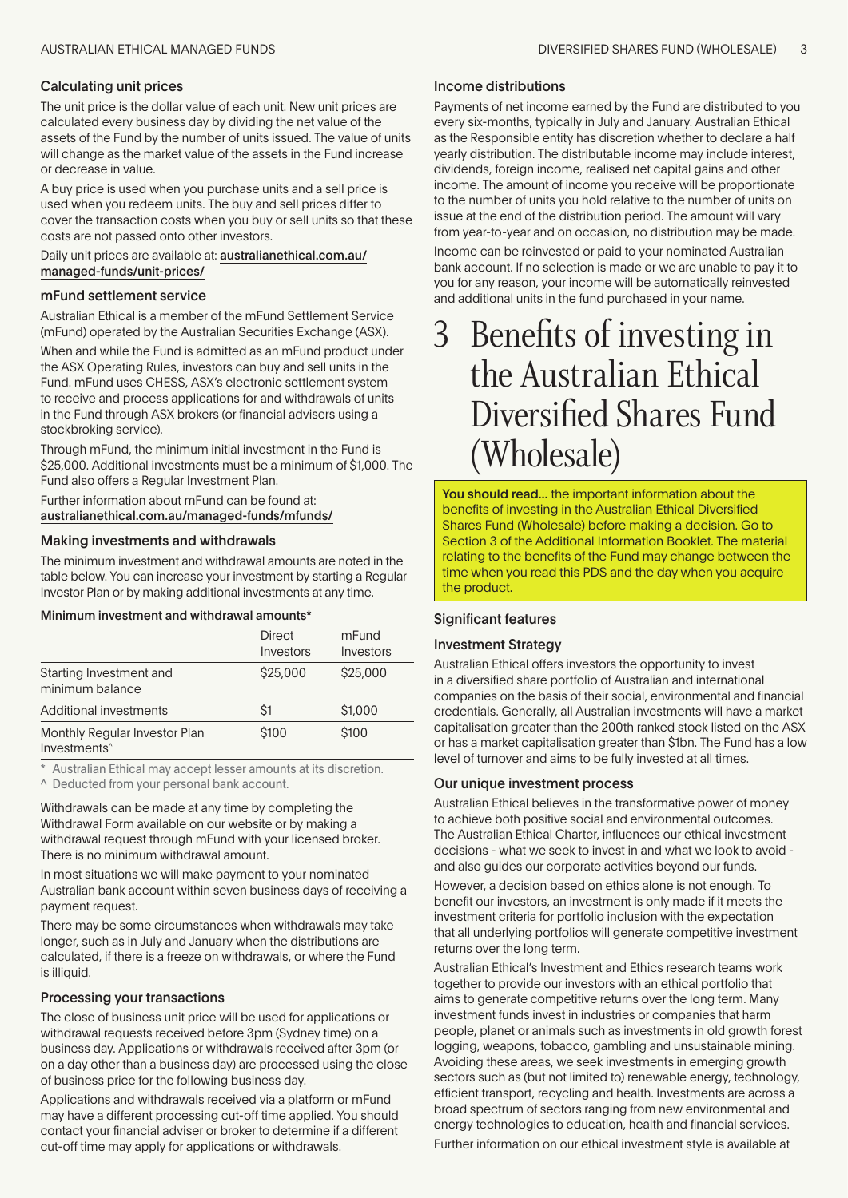#### <span id="page-2-0"></span>Calculating unit prices

The unit price is the dollar value of each unit. New unit prices are calculated every business day by dividing the net value of the assets of the Fund by the number of units issued. The value of units will change as the market value of the assets in the Fund increase or decrease in value.

A buy price is used when you purchase units and a sell price is used when you redeem units. The buy and sell prices differ to cover the transaction costs when you buy or sell units so that these costs are not passed onto other investors.

Daily unit prices are available at: australianethical.com.au/ managed-funds/unit-prices/

#### mFund settlement service

Australian Ethical is a member of the mFund Settlement Service (mFund) operated by the Australian Securities Exchange (ASX).

When and while the Fund is admitted as an mFund product under the ASX Operating Rules, investors can buy and sell units in the Fund. mFund uses CHESS, ASX's electronic settlement system to receive and process applications for and withdrawals of units in the Fund through ASX brokers (or financial advisers using a stockbroking service).

Through mFund, the minimum initial investment in the Fund is \$25,000. Additional investments must be a minimum of \$1,000. The Fund also offers a Regular Investment Plan.

Further information about mFund can be found at: australianethical.com.au/managed-funds/mfunds/

#### Making investments and withdrawals

The minimum investment and withdrawal amounts are noted in the table below. You can increase your investment by starting a Regular Investor Plan or by making additional investments at any time.

Minimum investment and withdrawal amounts\*

|                                                           | <b>Direct</b><br>Investors | mFund<br>Investors |
|-----------------------------------------------------------|----------------------------|--------------------|
| Starting Investment and<br>minimum balance                | \$25,000                   | \$25,000           |
| Additional investments                                    | <sup>S1</sup>              | \$1,000            |
| Monthly Regular Investor Plan<br>Investments <sup>^</sup> | \$100                      | \$100              |

\* Australian Ethical may accept lesser amounts at its discretion.

^ Deducted from your personal bank account.

Withdrawals can be made at any time by completing the Withdrawal Form available on our website or by making a withdrawal request through mFund with your licensed broker. There is no minimum withdrawal amount.

In most situations we will make payment to your nominated Australian bank account within seven business days of receiving a payment request.

There may be some circumstances when withdrawals may take longer, such as in July and January when the distributions are calculated, if there is a freeze on withdrawals, or where the Fund is illiquid.

#### Processing your transactions

The close of business unit price will be used for applications or withdrawal requests received before 3pm (Sydney time) on a business day. Applications or withdrawals received after 3pm (or on a day other than a business day) are processed using the close of business price for the following business day.

Applications and withdrawals received via a platform or mFund may have a different processing cut-off time applied. You should contact your financial adviser or broker to determine if a different cut-off time may apply for applications or withdrawals.

#### Income distributions

Payments of net income earned by the Fund are distributed to you every six-months, typically in July and January. Australian Ethical as the Responsible entity has discretion whether to declare a half yearly distribution. The distributable income may include interest, dividends, foreign income, realised net capital gains and other income. The amount of income you receive will be proportionate to the number of units you hold relative to the number of units on issue at the end of the distribution period. The amount will vary from year-to-year and on occasion, no distribution may be made. Income can be reinvested or paid to your nominated Australian bank account. If no selection is made or we are unable to pay it to you for any reason, your income will be automatically reinvested and additional units in the fund purchased in your name.

### Benefits of investing in the Australian Ethical Diversified Shares Fund (Wholesale)

You should read... the important information about the benefits of investing in the Australian Ethical Diversified Shares Fund (Wholesale) before making a decision. Go to Section 3 of the Additional Information Booklet. The material relating to the benefits of the Fund may change between the time when you read this PDS and the day when you acquire the product.

#### Significant features

#### Investment Strategy

Australian Ethical offers investors the opportunity to invest in a diversified share portfolio of Australian and international companies on the basis of their social, environmental and financial credentials. Generally, all Australian investments will have a market capitalisation greater than the 200th ranked stock listed on the ASX or has a market capitalisation greater than \$1bn. The Fund has a low level of turnover and aims to be fully invested at all times.

#### Our unique investment process

Australian Ethical believes in the transformative power of money to achieve both positive social and environmental outcomes. The Australian Ethical Charter, influences our ethical investment decisions - what we seek to invest in and what we look to avoid and also guides our corporate activities beyond our funds.

However, a decision based on ethics alone is not enough. To benefit our investors, an investment is only made if it meets the investment criteria for portfolio inclusion with the expectation that all underlying portfolios will generate competitive investment returns over the long term.

Australian Ethical's Investment and Ethics research teams work together to provide our investors with an ethical portfolio that aims to generate competitive returns over the long term. Many investment funds invest in industries or companies that harm people, planet or animals such as investments in old growth forest logging, weapons, tobacco, gambling and unsustainable mining. Avoiding these areas, we seek investments in emerging growth sectors such as (but not limited to) renewable energy, technology, efficient transport, recycling and health. Investments are across a broad spectrum of sectors ranging from new environmental and energy technologies to education, health and financial services.

Further information on our ethical investment style is available at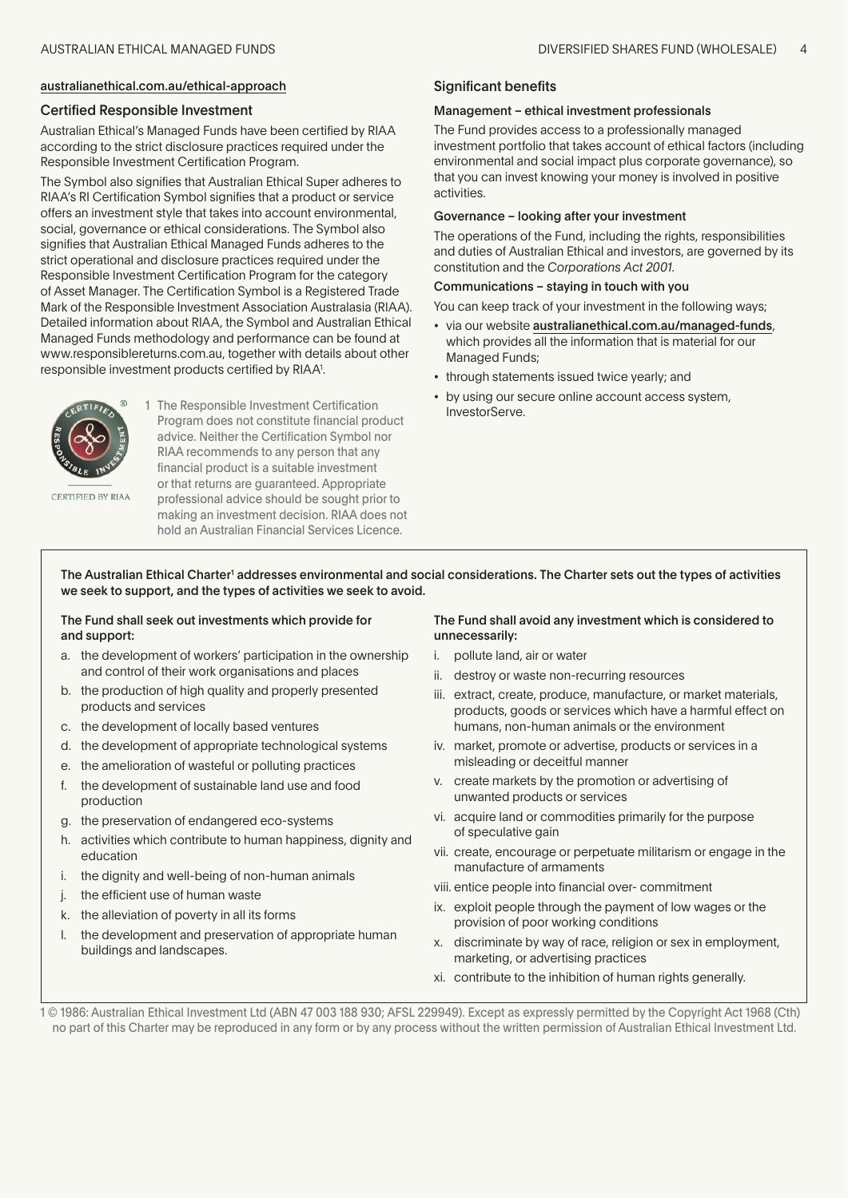#### australianethical.com.au/ethical-approach

#### Certified Responsible Investment

Australian Ethical's Managed Funds have been certified by RIAA according to the strict disclosure practices required under the Responsible Investment Certification Program.

The Symbol also signifies that Australian Ethical Super adheres to RIAA's RI Certification Symbol signifies that a product or service offers an investment style that takes into account environmental, social, governance or ethical considerations. The Symbol also signifies that Australian Ethical Managed Funds adheres to the strict operational and disclosure practices required under the Responsible Investment Certification Program for the category of Asset Manager. The Certification Symbol is a Registered Trade Mark of the Responsible Investment Association Australasia (RIAA). Detailed information about RIAA, the Symbol and Australian Ethical Managed Funds methodology and performance can be found at www.responsiblereturns.com.au, together with details about other responsible investment products certified by RIAA<sup>1</sup>.



1 The Responsible Investment Certification Program does not constitute financial product advice. Neither the Certification Symbol nor RIAA recommends to any person that any financial product is a suitable investment or that returns are guaranteed. Appropriate professional advice should be sought prior to making an investment decision. RIAA does not hold an Australian Financial Services Licence.

CERTIFIED BY RIAA

The Australian Ethical Charter<sup>1</sup> addresses environmental and social considerations. The Charter sets out the types of activities we seek to support, and the types of activities we seek to avoid.

#### The Fund shall seek out investments which provide for and support:

- a. the development of workers' participation in the ownership and control of their work organisations and places
- b. the production of high quality and properly presented products and services
- c. the development of locally based ventures
- d. the development of appropriate technological systems
- e. the amelioration of wasteful or polluting practices
- f. the development of sustainable land use and food production
- g. the preservation of endangered eco-systems
- h. activities which contribute to human happiness, dignity and education
- i. the dignity and well-being of non-human animals
- j. the efficient use of human waste
- k. the alleviation of poverty in all its forms
- l. the development and preservation of appropriate human buildings and landscapes.

#### The Fund shall avoid any investment which is considered to unnecessarily:

- i. pollute land, air or water
- ii. destroy or waste non-recurring resources
- iii. extract, create, produce, manufacture, or market materials, products, goods or services which have a harmful effect on humans, non-human animals or the environment
- iv. market, promote or advertise, products or services in a misleading or deceitful manner
- v. create markets by the promotion or advertising of unwanted products or services
- vi. acquire land or commodities primarily for the purpose of speculative gain
- vii. create, encourage or perpetuate militarism or engage in the manufacture of armaments
- viii. entice people into financial over- commitment
- ix. exploit people through the payment of low wages or the provision of poor working conditions
- x. discriminate by way of race, religion or sex in employment, marketing, or advertising practices
- xi. contribute to the inhibition of human rights generally.

1 © 1986: Australian Ethical Investment Ltd (ABN 47 003 188 930; AFSL 229949). Except as expressly permitted by the Copyright Act 1968 (Cth) no part of this Charter may be reproduced in any form or by any process without the written permission of Australian Ethical Investment Ltd.

#### Significant benefits

#### Management – ethical investment professionals

The Fund provides access to a professionally managed investment portfolio that takes account of ethical factors (including environmental and social impact plus corporate governance), so that you can invest knowing your money is involved in positive activities.

#### Governance – looking after your investment

The operations of the Fund, including the rights, responsibilities and duties of Australian Ethical and investors, are governed by its constitution and the *Corporations Act 2001*.

#### Communications – staying in touch with you

You can keep track of your investment in the following ways;

- via our website australianethical.com.au/managed-funds, which provides all the information that is material for our Managed Funds;
- through statements issued twice yearly; and
- by using our secure online account access system, InvestorServe.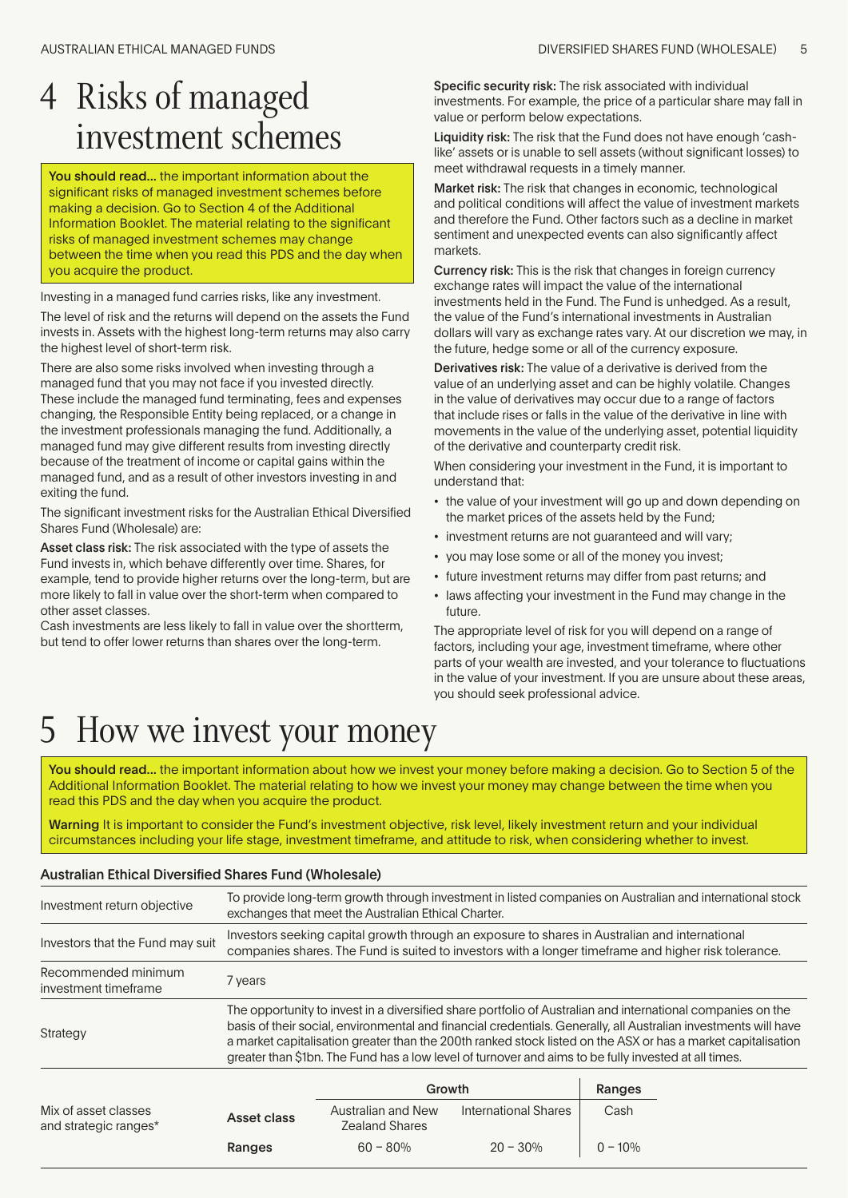### <span id="page-4-0"></span>4 Risks of managed investment schemes

You should read... the important information about the significant risks of managed investment schemes before making a decision. Go to Section 4 of the Additional Information Booklet. The material relating to the significant risks of managed investment schemes may change between the time when you read this PDS and the day when you acquire the product.

Investing in a managed fund carries risks, like any investment.

The level of risk and the returns will depend on the assets the Fund invests in. Assets with the highest long-term returns may also carry the highest level of short-term risk.

There are also some risks involved when investing through a managed fund that you may not face if you invested directly. These include the managed fund terminating, fees and expenses changing, the Responsible Entity being replaced, or a change in the investment professionals managing the fund. Additionally, a managed fund may give different results from investing directly because of the treatment of income or capital gains within the managed fund, and as a result of other investors investing in and exiting the fund.

The significant investment risks for the Australian Ethical Diversified Shares Fund (Wholesale) are:

Asset class risk: The risk associated with the type of assets the Fund invests in, which behave differently over time. Shares, for example, tend to provide higher returns over the long-term, but are more likely to fall in value over the short-term when compared to other asset classes.

Cash investments are less likely to fall in value over the shortterm, but tend to offer lower returns than shares over the long-term.

Specific security risk: The risk associated with individual investments. For example, the price of a particular share may fall in value or perform below expectations.

Liquidity risk: The risk that the Fund does not have enough 'cashlike' assets or is unable to sell assets (without significant losses) to meet withdrawal requests in a timely manner.

Market risk: The risk that changes in economic, technological and political conditions will affect the value of investment markets and therefore the Fund. Other factors such as a decline in market sentiment and unexpected events can also significantly affect markets.

Currency risk: This is the risk that changes in foreign currency exchange rates will impact the value of the international investments held in the Fund. The Fund is unhedged. As a result, the value of the Fund's international investments in Australian dollars will vary as exchange rates vary. At our discretion we may, in the future, hedge some or all of the currency exposure.

Derivatives risk: The value of a derivative is derived from the value of an underlying asset and can be highly volatile. Changes in the value of derivatives may occur due to a range of factors that include rises or falls in the value of the derivative in line with movements in the value of the underlying asset, potential liquidity of the derivative and counterparty credit risk.

When considering your investment in the Fund, it is important to understand that:

- the value of your investment will go up and down depending on the market prices of the assets held by the Fund;
- investment returns are not guaranteed and will vary;
- you may lose some or all of the money you invest;
- future investment returns may differ from past returns; and
- laws affecting your investment in the Fund may change in the future.

The appropriate level of risk for you will depend on a range of factors, including your age, investment timeframe, where other parts of your wealth are invested, and your tolerance to fluctuations in the value of your investment. If you are unsure about these areas, you should seek professional advice.

### 5 How we invest your money

You should read... the important information about how we invest your money before making a decision. Go to Section 5 of the Additional Information Booklet. The material relating to how we invest your money may change between the time when you read this PDS and the day when you acquire the product.

Warning It is important to consider the Fund's investment objective, risk level, likely investment return and your individual circumstances including your life stage, investment timeframe, and attitude to risk, when considering whether to invest.

### Australian Ethical Diversified Shares Fund (Wholesale)

| Investment return objective                 | To provide long-term growth through investment in listed companies on Australian and international stock<br>exchanges that meet the Australian Ethical Charter.                                                                                                                                                                                                                                                                                        |
|---------------------------------------------|--------------------------------------------------------------------------------------------------------------------------------------------------------------------------------------------------------------------------------------------------------------------------------------------------------------------------------------------------------------------------------------------------------------------------------------------------------|
| Investors that the Fund may suit            | Investors seeking capital growth through an exposure to shares in Australian and international<br>companies shares. The Fund is suited to investors with a longer timeframe and higher risk tolerance.                                                                                                                                                                                                                                                 |
| Recommended minimum<br>investment timeframe | 7 years                                                                                                                                                                                                                                                                                                                                                                                                                                                |
| Strategy                                    | The opportunity to invest in a diversified share portfolio of Australian and international companies on the<br>basis of their social, environmental and financial credentials. Generally, all Australian investments will have<br>a market capitalisation greater than the 200th ranked stock listed on the ASX or has a market capitalisation<br>greater than \$1bn. The Fund has a low level of turnover and aims to be fully invested at all times. |

|                                                              | Growth                                      |                      | Ranges     |
|--------------------------------------------------------------|---------------------------------------------|----------------------|------------|
| Mix of asset classes<br>Asset class<br>and strategic ranges* | Australian and New<br><b>Zealand Shares</b> | International Shares | Cash       |
| Ranges                                                       | $60 - 80%$                                  | $20 - 30\%$          | $0 - 10\%$ |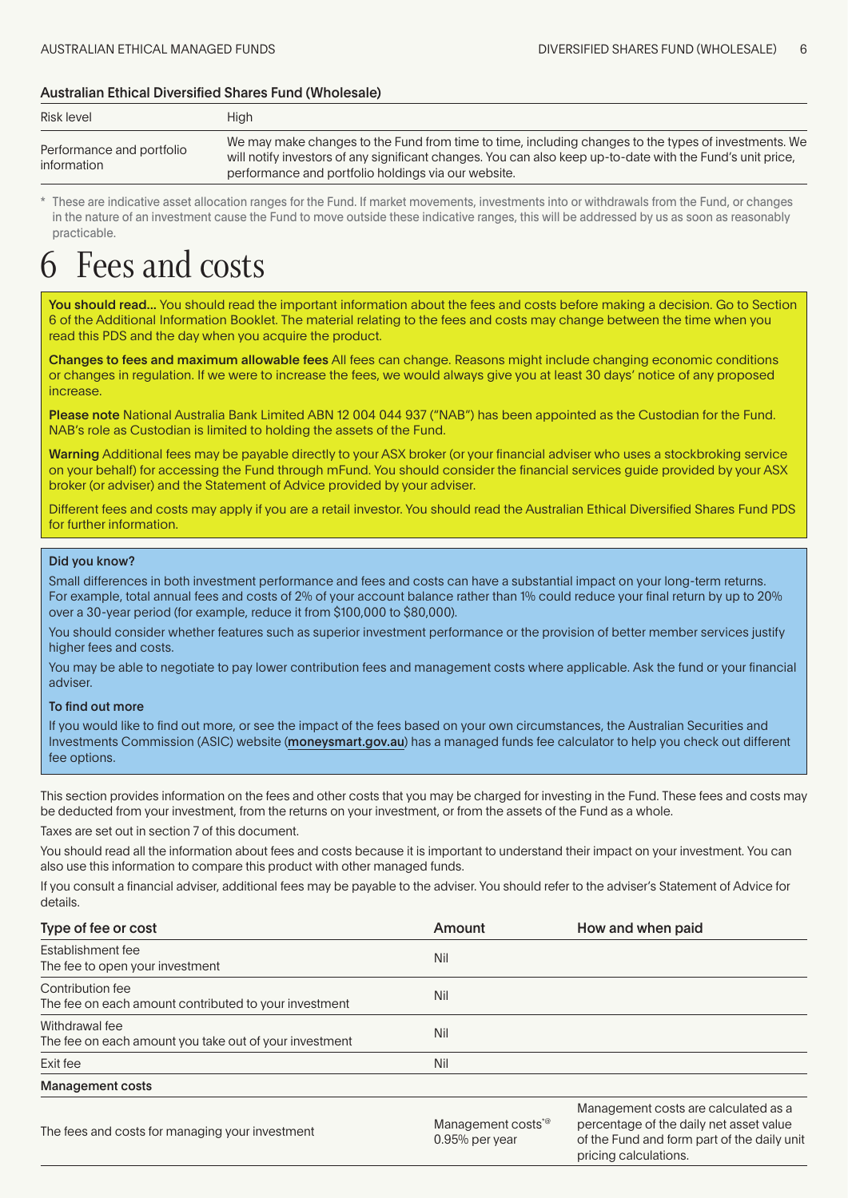#### <span id="page-5-0"></span>Australian Ethical Diversified Shares Fund (Wholesale)

| Risk level                               | <b>High</b>                                                                                                                                                                                                                                                               |
|------------------------------------------|---------------------------------------------------------------------------------------------------------------------------------------------------------------------------------------------------------------------------------------------------------------------------|
| Performance and portfolio<br>information | We may make changes to the Fund from time to time, including changes to the types of investments. We<br>will notify investors of any significant changes. You can also keep up-to-date with the Fund's unit price,<br>performance and portfolio holdings via our website. |

These are indicative asset allocation ranges for the Fund. If market movements, investments into or withdrawals from the Fund, or changes in the nature of an investment cause the Fund to move outside these indicative ranges, this will be addressed by us as soon as reasonably practicable.

### Fees and costs

You should read... You should read the important information about the fees and costs before making a decision. Go to Section 6 of the Additional Information Booklet. The material relating to the fees and costs may change between the time when you read this PDS and the day when you acquire the product.

Changes to fees and maximum allowable fees All fees can change. Reasons might include changing economic conditions or changes in regulation. If we were to increase the fees, we would always give you at least 30 days' notice of any proposed increase.

Please note National Australia Bank Limited ABN 12 004 044 937 ("NAB") has been appointed as the Custodian for the Fund. NAB's role as Custodian is limited to holding the assets of the Fund.

Warning Additional fees may be payable directly to your ASX broker (or your financial adviser who uses a stockbroking service on your behalf) for accessing the Fund through mFund. You should consider the financial services guide provided by your ASX broker (or adviser) and the Statement of Advice provided by your adviser.

Different fees and costs may apply if you are a retail investor. You should read the Australian Ethical Diversified Shares Fund PDS for further information.

#### Did you know?

Small differences in both investment performance and fees and costs can have a substantial impact on your long-term returns. For example, total annual fees and costs of 2% of your account balance rather than 1% could reduce your final return by up to 20% over a 30-year period (for example, reduce it from \$100,000 to \$80,000).

You should consider whether features such as superior investment performance or the provision of better member services justify higher fees and costs.

You may be able to negotiate to pay lower contribution fees and management costs where applicable. Ask the fund or your financial adviser.

#### To find out more

If you would like to find out more, or see the impact of the fees based on your own circumstances, the Australian Securities and Investments Commission (ASIC) website (moneysmart.gov.au) has a managed funds fee calculator to help you check out different fee options.

This section provides information on the fees and other costs that you may be charged for investing in the Fund. These fees and costs may be deducted from your investment, from the returns on your investment, or from the assets of the Fund as a whole.

Taxes are set out in section 7 of this document.

You should read all the information about fees and costs because it is important to understand their impact on your investment. You can also use this information to compare this product with other managed funds.

If you consult a financial adviser, additional fees may be payable to the adviser. You should refer to the adviser's Statement of Advice for details.

| Type of fee or cost                                                       | Amount | How and when paid                    |
|---------------------------------------------------------------------------|--------|--------------------------------------|
| Establishment fee<br>The fee to open your investment                      | Nil    |                                      |
| Contribution fee<br>The fee on each amount contributed to your investment | Nil    |                                      |
| Withdrawal fee<br>The fee on each amount you take out of your investment  | Nil    |                                      |
| Exit fee                                                                  | Nil    |                                      |
| <b>Management costs</b>                                                   |        |                                      |
|                                                                           |        | Management costs are calculated as a |

The fees and costs for managing your investment Management Costs<sup>\*@</sup><br>Co<sup>rol</sup> 2005 of the same costs for managing your investment 0.95% per year percentage of the daily net asset value of the Fund and form part of the daily unit pricing calculations.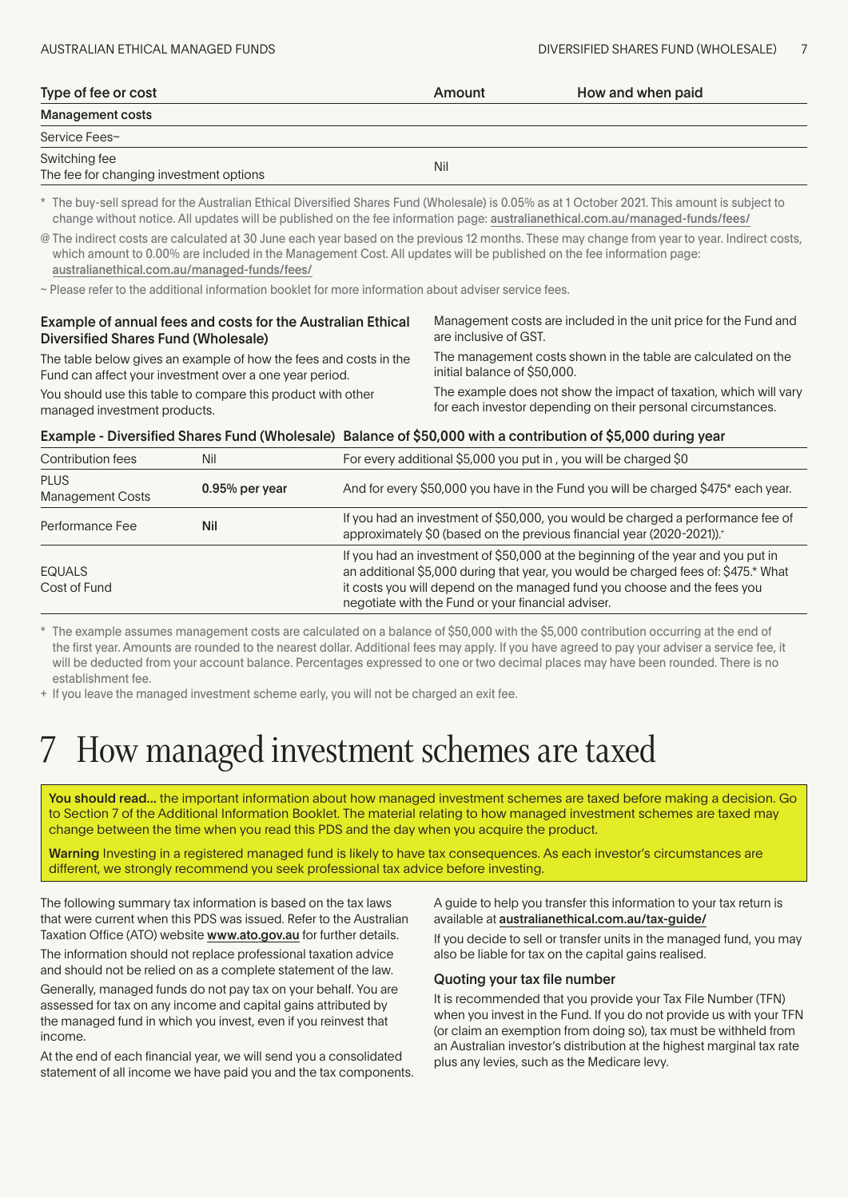<span id="page-6-0"></span>

| Type of fee or cost                                      | Amount | How and when paid |
|----------------------------------------------------------|--------|-------------------|
| Management costs                                         |        |                   |
| Service Fees~                                            |        |                   |
| Switching fee<br>The fee for changing investment options | Nil    |                   |

\* The buy-sell spread for the Australian Ethical Diversified Shares Fund (Wholesale) is 0.05% as at 1 October 2021. This amount is subject to change without notice. All updates will be published on the fee information page: [australianethical.com.au/managed-funds/fees/](http://australianethical.com.au/managed-funds/fees/)

@ The indirect costs are calculated at 30 June each year based on the previous 12 months. These may change from year to year. Indirect costs, which amount to 0.00% are included in the Management Cost. All updates will be published on the fee information page: [australianethical.com.au/managed-funds/fees/](http://australianethical.com.au/managed-funds/fees/)

~ Please refer to the additional information booklet for more information about adviser service fees.

#### Example of annual fees and costs for the Australian Ethical Diversified Shares Fund (Wholesale)

Management costs are included in the unit price for the Fund and are inclusive of GST. The management costs shown in the table are calculated on the

The table below gives an example of how the fees and costs in the Fund can affect your investment over a one year period.

initial balance of \$50,000.

You should use this table to compare this product with other managed investment products.

The example does not show the impact of taxation, which will vary for each investor depending on their personal circumstances.

#### Example - Diversified Shares Fund (Wholesale) Balance of \$50,000 with a contribution of \$5,000 during year

| Contribution fees                      | Nil              | For every additional \$5,000 you put in, you will be charged \$0                                                                                                                                                                                                                                         |
|----------------------------------------|------------------|----------------------------------------------------------------------------------------------------------------------------------------------------------------------------------------------------------------------------------------------------------------------------------------------------------|
| <b>PLUS</b><br><b>Management Costs</b> | $0.95%$ per year | And for every \$50,000 you have in the Fund you will be charged \$475* each year.                                                                                                                                                                                                                        |
| Performance Fee                        | Nil              | If you had an investment of \$50,000, you would be charged a performance fee of<br>approximately \$0 (based on the previous financial year (2020-2021)). <sup>+</sup>                                                                                                                                    |
| <b>EQUALS</b><br>Cost of Fund          |                  | If you had an investment of \$50,000 at the beginning of the year and you put in<br>an additional \$5,000 during that year, you would be charged fees of: \$475.* What<br>it costs you will depend on the managed fund you choose and the fees you<br>negotiate with the Fund or your financial adviser. |

The example assumes management costs are calculated on a balance of \$50,000 with the \$5,000 contribution occurring at the end of the first year. Amounts are rounded to the nearest dollar. Additional fees may apply. If you have agreed to pay your adviser a service fee, it will be deducted from your account balance. Percentages expressed to one or two decimal places may have been rounded. There is no establishment fee.

+ If you leave the managed investment scheme early, you will not be charged an exit fee.

### How managed investment schemes are taxed

You should read... the important information about how managed investment schemes are taxed before making a decision. Go to Section 7 of the Additional Information Booklet. The material relating to how managed investment schemes are taxed may change between the time when you read this PDS and the day when you acquire the product.

Warning Investing in a registered managed fund is likely to have tax consequences. As each investor's circumstances are different, we strongly recommend you seek professional tax advice before investing.

The following summary tax information is based on the tax laws that were current when this PDS was issued. Refer to the Australian Taxation Office (ATO) website [www.ato.gov.a](http://www.ato.gov.au)u for further details.

The information should not replace professional taxation advice and should not be relied on as a complete statement of the law.

Generally, managed funds do not pay tax on your behalf. You are assessed for tax on any income and capital gains attributed by the managed fund in which you invest, even if you reinvest that income.

At the end of each financial year, we will send you a consolidated statement of all income we have paid you and the tax components. A guide to help you transfer this information to your tax return is available at australianethical.com.au/tax-guide/

If you decide to sell or transfer units in the managed fund, you may also be liable for tax on the capital gains realised.

#### Quoting your tax file number

It is recommended that you provide your Tax File Number (TFN) when you invest in the Fund. If you do not provide us with your TFN (or claim an exemption from doing so), tax must be withheld from an Australian investor's distribution at the highest marginal tax rate plus any levies, such as the Medicare levy.